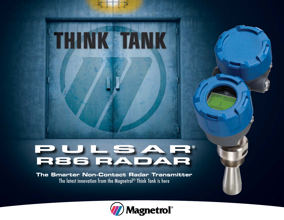# RULSAR®<br>R86 RADAR

**THINK TANK** 

**The Smarter Non-Contact Radar Transmitter** The latest innovation from the Magnetrol® Think Tank is here

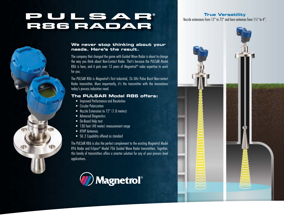## PULSAR®<br>R86 RADAR

#### **We never stop thinking about your needs. Here's the result.**

The company that changed the game with Guided Wave Radar is about to change the way you think about Non-Contact Radar. That's because the PULSAR Model R86 is here, and it puts over 13 years of Magnetrol<sup>®</sup> radar expertise to work for you.

The PULSAR R86 is Magnetrol's first industrial, 26 GHz Pulse Burst Non-contact Radar transmitter. More importantly, it's the transmitter with the innovations today's process industries need.

#### **The PULSAR Model R86 offers:**

- Improved Performance and Resolution
- Circular Polarization
- Nozzle Extensions to 72" (1.8 meters)
- Advanced Diagnostics
- On-Board Help text
- 130 foot (40 meter) measurement range
- HTHP Antennas
- SIL 2 Capability offered as standard

The PULSAR R86 is also the perfect complement to the existing Magnetrol Model R96 Radar and Eclipse® Model 706 Guided Wave Radar transmitters. Together, this family of transmitters offers a smarter solution for any of your process level applications.



#### **True Versatility**

Nozzle extensions from 12" to 72" and horn antennas from 1½" to 4".

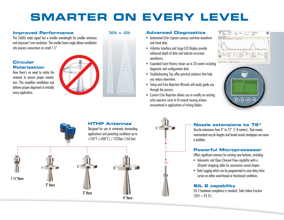## **SMARTER ON EVERY LEVEL**

#### **Improved Performance**

The 26GHz radar signal has a smaller wavelength for smaller antennas and improved 1mm resolution. The smaller beam angle allows installation into process connections as small 1.5".

#### **Circular Polarization**

Now there's no need to rotate the antenna to ensure proper orientation. This simplifies installation and delivers proper alignment in virtually every application.



#### 26GHz vs. 6GHz

4" Horn

#### **Advanced Diagnostics**

- Automated Echo Capture conveys real-time waveform and trend data.
- 4-Button Interface and Large LCD Display provide enhanced depth of data and indicate on-screen waveforms.
- Expanded Event History shows up to 20 events including diagnostic and configuration data.
- Troubleshooting Tips offer practical solutions that help you reduce downtime.
- Setup and Echo Rejection Wizards will easily guide you through the process.
- Custom Echo Rejection allows you to modify an existing echo rejection curve to fit around moving echoes encountered in applications of mixing blades.



### **HTHP Antennas** Designed for use in extremely demanding applications and punishing conditions up to +750˚F (+400˚C) / 2320psi (160 bar). 1 ½" Horn 2" Horn 3" Horn



#### **Nozzle extensions to 72"**

Nozzle extensions from 4" to 72" (1.8 meters). That means nonstandard nozzle lengths and buried vessel standpipes are never a problem.

#### **Powerful Microprocessor**

Offers significant memory for exciting new features, including:

- Volumetric and Open Channel Flow capability with a 30-point strapping table for uncommon vessel shapes
- Data Logging which can be programmed to save data/echo curves on either event-based or time-based conditions

#### **SIL 2 capability**

SIL 2 hardware compliance is standard. Safe Failure Fraction  $(SFF) = 93.2\%$